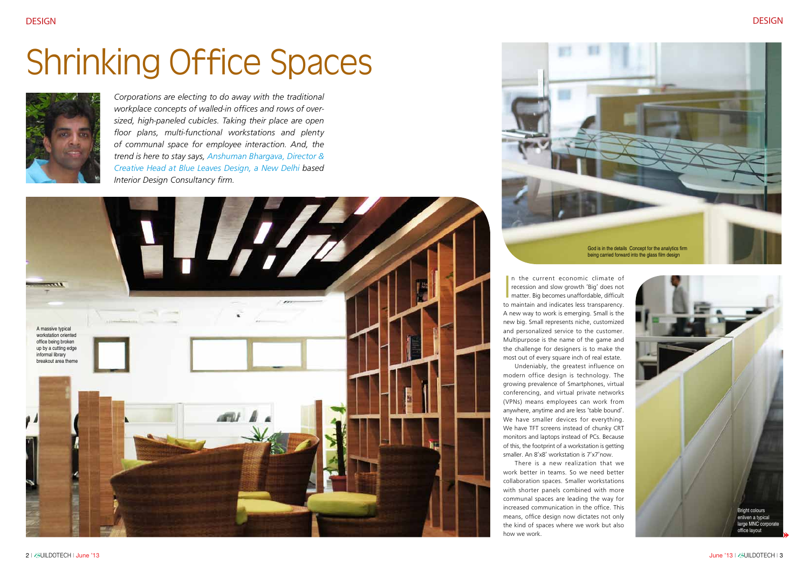*Corporations are electing to do away with the traditional workplace concepts of walled-in offices and rows of oversized, high-paneled cubicles. Taking their place are open floor plans, multi-functional workstations and plenty of communal space for employee interaction. And, the trend is here to stay says, Anshuman Bhargava, Director & Creative Head at Blue Leaves Design, a New Delhi based Interior Design Consultancy firm.* 

> In the current economic climate of<br>recession and slow growth 'Big' does not<br>matter. Big becomes unaffordable, difficult<br>to maintain and indicate loss transporancy n the current economic climate of recession and slow growth 'Big' does not to maintain and indicates less transparency. A new way to work is emerging. Small is the new big. Small represents niche, customized and personalized service to the customer. Multipurpose is the name of the game and the challenge for designers is to make the most out of every square inch of real estate. Undeniably, the greatest influence on modern office design is technology. The growing prevalence of Smartphones, virtual conferencing, and virtual private networks (VPNs) means employees can work from anywhere, anytime and are less 'table bound'. We have smaller devices for everything. We have TFT screens instead of chunky CRT

monitors and laptops instead of PCs. Because of this, the footprint of a workstation is getting smaller. An 8'x8' workstation is 7'x7'now.

There is a new realization that we work better in teams. So we need better collaboration spaces. Smaller workstations with shorter panels combined with more communal spaces are leading the way for increased communication in the office. This means, office design now dictates not only the kind of spaces where we work but also how we work.

# Shrinking Office Spaces